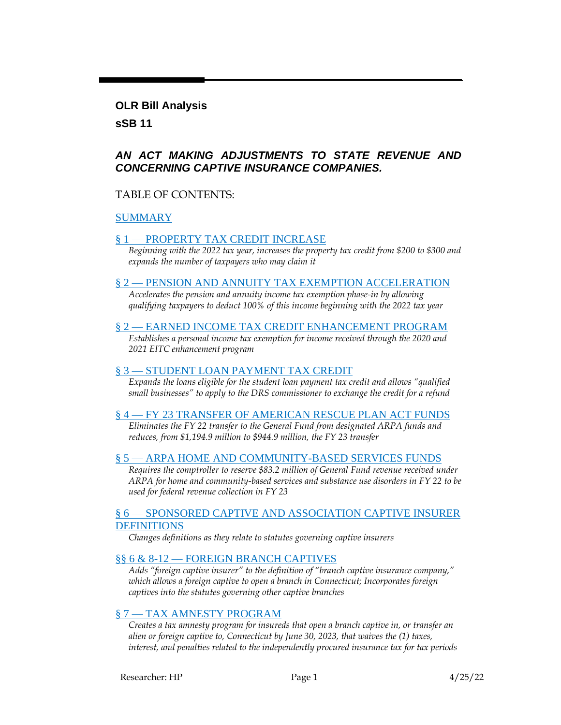### **OLR Bill Analysis**

### **sSB 11**

### *AN ACT MAKING ADJUSTMENTS TO STATE REVENUE AND CONCERNING CAPTIVE INSURANCE COMPANIES.*

### TABLE OF CONTENTS:

### [SUMMARY](#page-1-0)

#### § 1 — [PROPERTY TAX CREDIT INCREASE](#page-2-0)

*Beginning with the 2022 tax year, increases the property tax credit from \$200 to \$300 and expands the number of taxpayers who may claim it*

#### § 2 — [PENSION AND ANNUITY TAX EXEMPTION ACCELERATION](#page-2-1)

*Accelerates the pension and annuity income tax exemption phase-in by allowing qualifying taxpayers to deduct 100% of this income beginning with the 2022 tax year*

### § 2 — [EARNED INCOME TAX CREDIT ENHANCEMENT PROGRAM](#page-3-0)

*Establishes a personal income tax exemption for income received through the 2020 and 2021 EITC enhancement program*

#### § 3 — [STUDENT LOAN PAYMENT TAX CREDIT](#page-4-0)

*Expands the loans eligible for the student loan payment tax credit and allows "qualified small businesses" to apply to the DRS commissioner to exchange the credit for a refund*

#### § 4 — [FY 23 TRANSFER OF AMERICAN RESCUE PLAN ACT FUNDS](#page-5-0)

*Eliminates the FY 22 transfer to the General Fund from designated ARPA funds and reduces, from \$1,194.9 million to \$944.9 million, the FY 23 transfer*

#### § 5 — [ARPA HOME AND COMMUNITY-BASED SERVICES FUNDS](#page-5-1)

*Requires the comptroller to reserve \$83.2 million of General Fund revenue received under ARPA for home and community-based services and substance use disorders in FY 22 to be used for federal revenue collection in FY 23*

### § 6 — [SPONSORED CAPTIVE AND ASSOCIATION CAPTIVE INSURER](#page-5-2)  **[DEFINITIONS](#page-5-2)**

*Changes definitions as they relate to statutes governing captive insurers*

#### §§ 6 & 8-12 — [FOREIGN BRANCH CAPTIVES](#page-6-0)

*Adds "foreign captive insurer" to the definition of "branch captive insurance company," which allows a foreign captive to open a branch in Connecticut; Incorporates foreign captives into the statutes governing other captive branches*

#### § 7 — [TAX AMNESTY PROGRAM](#page-9-0)

*Creates a tax amnesty program for insureds that open a branch captive in, or transfer an alien or foreign captive to, Connecticut by June 30, 2023, that waives the (1) taxes, interest, and penalties related to the independently procured insurance tax for tax periods*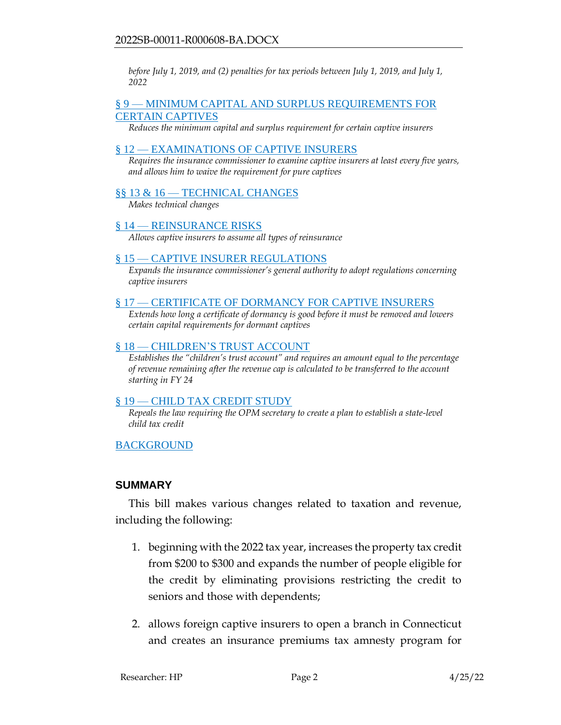*before July 1, 2019, and (2) penalties for tax periods between July 1, 2019, and July 1, 2022*

### § 9 — [MINIMUM CAPITAL AND SURPLUS REQUIREMENTS FOR](#page-10-0) [CERTAIN CAPTIVES](#page-10-0)

*Reduces the minimum capital and surplus requirement for certain captive insurers*

### § 12 — [EXAMINATIONS OF CAPTIVE INSURERS](#page-10-1)

*Requires the insurance commissioner to examine captive insurers at least every five years, and allows him to waive the requirement for pure captives*

### §§ 13 & 16 — [TECHNICAL CHANGES](#page-11-0)

*Makes technical changes*

### § 14 — [REINSURANCE RISKS](#page-11-1)

*Allows captive insurers to assume all types of reinsurance*

### § 15 — [CAPTIVE INSURER REGULATIONS](#page-11-2)

*Expands the insurance commissioner's general authority to adopt regulations concerning captive insurers*

### § 17 — [CERTIFICATE OF DORMANCY FOR CAPTIVE INSURERS](#page-11-3)

*Extends how long a certificate of dormancy is good before it must be removed and lowers certain capital requirements for dormant captives*

### § 18 — [CHILDREN'S TRUST ACCOUNT](#page-12-0)

*Establishes the "children's trust account" and requires an amount equal to the percentage of revenue remaining after the revenue cap is calculated to be transferred to the account starting in FY 24*

### § 19 — [CHILD TAX CREDIT STUDY](#page-12-1)

*Repeals the law requiring the OPM secretary to create a plan to establish a state-level child tax credit*

### **[BACKGROUND](#page-12-2)**

### <span id="page-1-0"></span>**SUMMARY**

This bill makes various changes related to taxation and revenue, including the following:

- 1. beginning with the 2022 tax year, increases the property tax credit from \$200 to \$300 and expands the number of people eligible for the credit by eliminating provisions restricting the credit to seniors and those with dependents;
- 2. allows foreign captive insurers to open a branch in Connecticut and creates an insurance premiums tax amnesty program for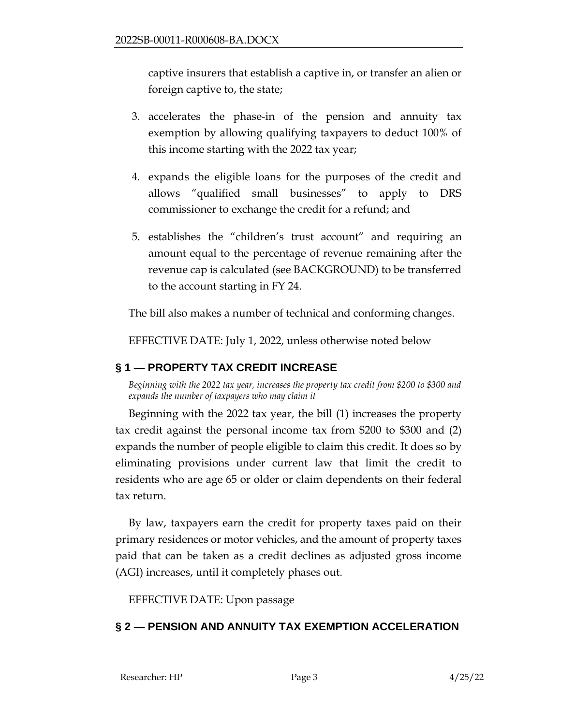captive insurers that establish a captive in, or transfer an alien or foreign captive to, the state;

- 3. accelerates the phase-in of the pension and annuity tax exemption by allowing qualifying taxpayers to deduct 100% of this income starting with the 2022 tax year;
- 4. expands the eligible loans for the purposes of the credit and allows "qualified small businesses" to apply to DRS commissioner to exchange the credit for a refund; and
- 5. establishes the "children's trust account" and requiring an amount equal to the percentage of revenue remaining after the revenue cap is calculated (see BACKGROUND) to be transferred to the account starting in FY 24.

The bill also makes a number of technical and conforming changes.

EFFECTIVE DATE: July 1, 2022, unless otherwise noted below

# <span id="page-2-0"></span>**§ 1 — PROPERTY TAX CREDIT INCREASE**

*Beginning with the 2022 tax year, increases the property tax credit from \$200 to \$300 and expands the number of taxpayers who may claim it* 

Beginning with the 2022 tax year, the bill (1) increases the property tax credit against the personal income tax from \$200 to \$300 and (2) expands the number of people eligible to claim this credit. It does so by eliminating provisions under current law that limit the credit to residents who are age 65 or older or claim dependents on their federal tax return.

By law, taxpayers earn the credit for property taxes paid on their primary residences or motor vehicles, and the amount of property taxes paid that can be taken as a credit declines as adjusted gross income (AGI) increases, until it completely phases out.

EFFECTIVE DATE: Upon passage

# <span id="page-2-1"></span>**§ 2 — PENSION AND ANNUITY TAX EXEMPTION ACCELERATION**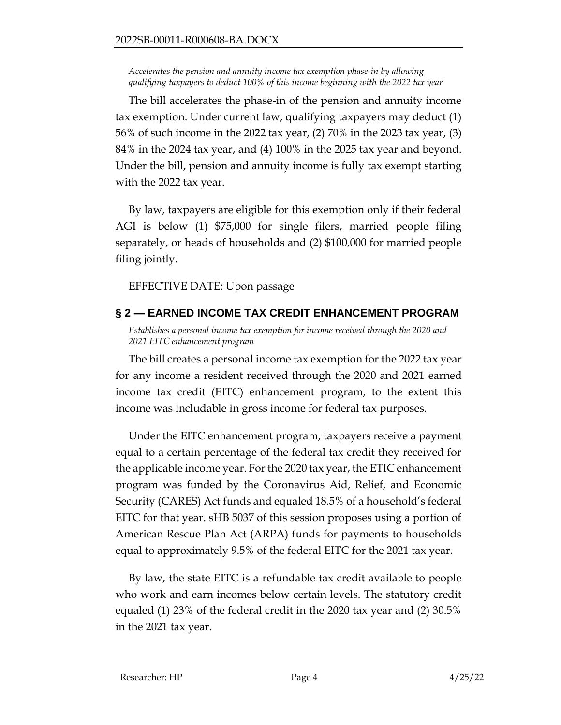*Accelerates the pension and annuity income tax exemption phase-in by allowing qualifying taxpayers to deduct 100% of this income beginning with the 2022 tax year* 

The bill accelerates the phase-in of the pension and annuity income tax exemption. Under current law, qualifying taxpayers may deduct (1) 56% of such income in the 2022 tax year, (2) 70% in the 2023 tax year, (3) 84% in the 2024 tax year, and (4) 100% in the 2025 tax year and beyond. Under the bill, pension and annuity income is fully tax exempt starting with the 2022 tax year.

By law, taxpayers are eligible for this exemption only if their federal AGI is below (1) \$75,000 for single filers, married people filing separately, or heads of households and (2) \$100,000 for married people filing jointly.

EFFECTIVE DATE: Upon passage

## <span id="page-3-0"></span>**§ 2 — EARNED INCOME TAX CREDIT ENHANCEMENT PROGRAM**

*Establishes a personal income tax exemption for income received through the 2020 and 2021 EITC enhancement program*

The bill creates a personal income tax exemption for the 2022 tax year for any income a resident received through the 2020 and 2021 earned income tax credit (EITC) enhancement program, to the extent this income was includable in gross income for federal tax purposes.

Under the EITC enhancement program, taxpayers receive a payment equal to a certain percentage of the federal tax credit they received for the applicable income year. For the 2020 tax year, the ETIC enhancement program was funded by the Coronavirus Aid, Relief, and Economic Security (CARES) Act funds and equaled 18.5% of a household's federal EITC for that year. sHB 5037 of this session proposes using a portion of American Rescue Plan Act (ARPA) funds for payments to households equal to approximately 9.5% of the federal EITC for the 2021 tax year.

By law, the state EITC is a refundable tax credit available to people who work and earn incomes below certain levels. The statutory credit equaled (1) 23% of the federal credit in the 2020 tax year and (2) 30.5% in the 2021 tax year.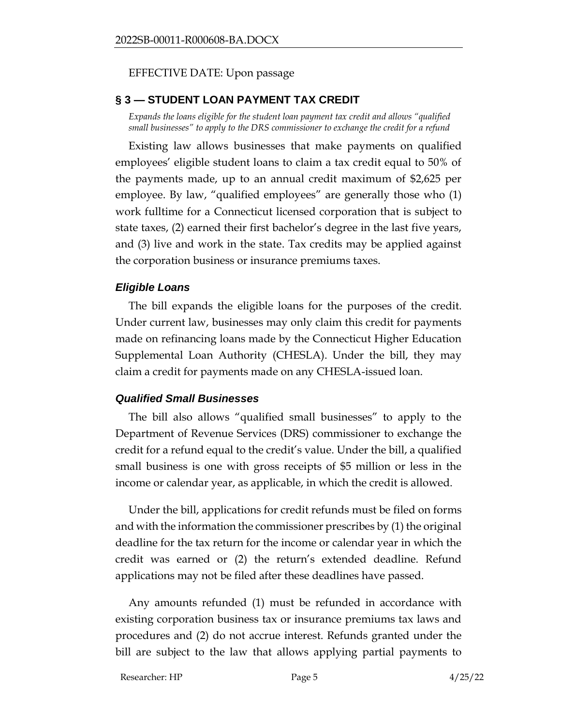### EFFECTIVE DATE: Upon passage

## <span id="page-4-0"></span>**§ 3 — STUDENT LOAN PAYMENT TAX CREDIT**

*Expands the loans eligible for the student loan payment tax credit and allows "qualified small businesses" to apply to the DRS commissioner to exchange the credit for a refund* 

Existing law allows businesses that make payments on qualified employees' eligible student loans to claim a tax credit equal to 50% of the payments made, up to an annual credit maximum of \$2,625 per employee. By law, "qualified employees" are generally those who (1) work fulltime for a Connecticut licensed corporation that is subject to state taxes, (2) earned their first bachelor's degree in the last five years, and (3) live and work in the state. Tax credits may be applied against the corporation business or insurance premiums taxes.

### *Eligible Loans*

The bill expands the eligible loans for the purposes of the credit. Under current law, businesses may only claim this credit for payments made on refinancing loans made by the Connecticut Higher Education Supplemental Loan Authority (CHESLA). Under the bill, they may claim a credit for payments made on any CHESLA-issued loan.

### *Qualified Small Businesses*

The bill also allows "qualified small businesses" to apply to the Department of Revenue Services (DRS) commissioner to exchange the credit for a refund equal to the credit's value. Under the bill, a qualified small business is one with gross receipts of \$5 million or less in the income or calendar year, as applicable, in which the credit is allowed.

Under the bill, applications for credit refunds must be filed on forms and with the information the commissioner prescribes by (1) the original deadline for the tax return for the income or calendar year in which the credit was earned or (2) the return's extended deadline. Refund applications may not be filed after these deadlines have passed.

Any amounts refunded (1) must be refunded in accordance with existing corporation business tax or insurance premiums tax laws and procedures and (2) do not accrue interest. Refunds granted under the bill are subject to the law that allows applying partial payments to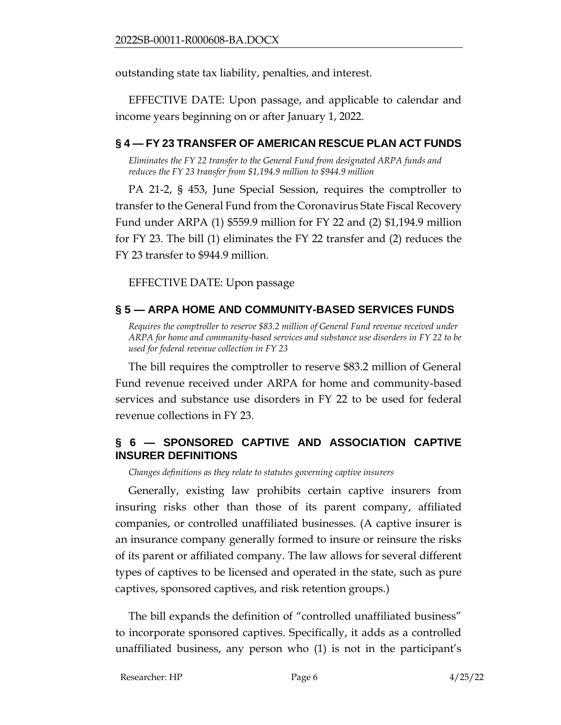outstanding state tax liability, penalties, and interest.

EFFECTIVE DATE: Upon passage, and applicable to calendar and income years beginning on or after January 1, 2022.

## <span id="page-5-0"></span>**§ 4 — FY 23 TRANSFER OF AMERICAN RESCUE PLAN ACT FUNDS**

*Eliminates the FY 22 transfer to the General Fund from designated ARPA funds and reduces the FY 23 transfer from \$1,194.9 million to \$944.9 million* 

PA 21-2, § 453, June Special Session, requires the comptroller to transfer to the General Fund from the Coronavirus State Fiscal Recovery Fund under ARPA (1) \$559.9 million for FY 22 and (2) \$1,194.9 million for FY 23. The bill (1) eliminates the FY 22 transfer and (2) reduces the FY 23 transfer to \$944.9 million.

EFFECTIVE DATE: Upon passage

## <span id="page-5-1"></span>**§ 5 — ARPA HOME AND COMMUNITY-BASED SERVICES FUNDS**

*Requires the comptroller to reserve \$83.2 million of General Fund revenue received under ARPA for home and community-based services and substance use disorders in FY 22 to be used for federal revenue collection in FY 23*

The bill requires the comptroller to reserve \$83.2 million of General Fund revenue received under ARPA for home and community-based services and substance use disorders in FY 22 to be used for federal revenue collections in FY 23.

## <span id="page-5-2"></span>**§ 6 — SPONSORED CAPTIVE AND ASSOCIATION CAPTIVE INSURER DEFINITIONS**

*Changes definitions as they relate to statutes governing captive insurers*

Generally, existing law prohibits certain captive insurers from insuring risks other than those of its parent company, affiliated companies, or controlled unaffiliated businesses. (A captive insurer is an insurance company generally formed to insure or reinsure the risks of its parent or affiliated company. The law allows for several different types of captives to be licensed and operated in the state, such as pure captives, sponsored captives, and risk retention groups.)

The bill expands the definition of "controlled unaffiliated business" to incorporate sponsored captives. Specifically, it adds as a controlled unaffiliated business, any person who (1) is not in the participant's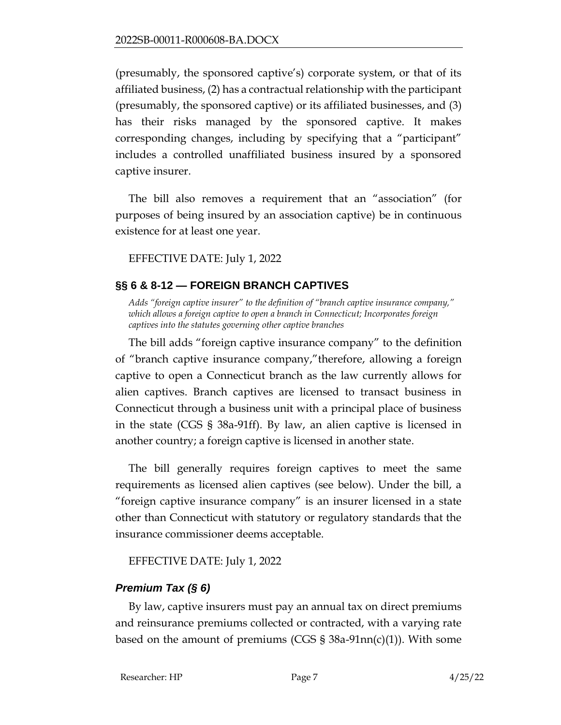(presumably, the sponsored captive's) corporate system, or that of its affiliated business, (2) has a contractual relationship with the participant (presumably, the sponsored captive) or its affiliated businesses, and (3) has their risks managed by the sponsored captive. It makes corresponding changes, including by specifying that a "participant" includes a controlled unaffiliated business insured by a sponsored captive insurer.

The bill also removes a requirement that an "association" (for purposes of being insured by an association captive) be in continuous existence for at least one year.

EFFECTIVE DATE: July 1, 2022

## <span id="page-6-0"></span>**§§ 6 & 8-12 — FOREIGN BRANCH CAPTIVES**

*Adds "foreign captive insurer" to the definition of "branch captive insurance company," which allows a foreign captive to open a branch in Connecticut; Incorporates foreign captives into the statutes governing other captive branches* 

The bill adds "foreign captive insurance company" to the definition of "branch captive insurance company,"therefore, allowing a foreign captive to open a Connecticut branch as the law currently allows for alien captives. Branch captives are licensed to transact business in Connecticut through a business unit with a principal place of business in the state (CGS § 38a-91ff). By law, an alien captive is licensed in another country; a foreign captive is licensed in another state.

The bill generally requires foreign captives to meet the same requirements as licensed alien captives (see below). Under the bill, a "foreign captive insurance company" is an insurer licensed in a state other than Connecticut with statutory or regulatory standards that the insurance commissioner deems acceptable.

## EFFECTIVE DATE: July 1, 2022

## *Premium Tax (§ 6)*

By law, captive insurers must pay an annual tax on direct premiums and reinsurance premiums collected or contracted, with a varying rate based on the amount of premiums (CGS  $\S$  38a-91nn(c)(1)). With some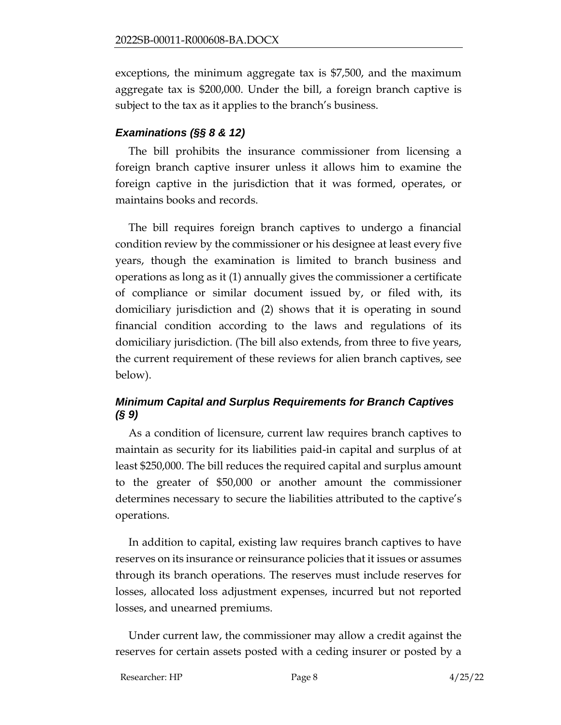exceptions, the minimum aggregate tax is \$7,500, and the maximum aggregate tax is \$200,000. Under the bill, a foreign branch captive is subject to the tax as it applies to the branch's business.

## *Examinations (§§ 8 & 12)*

The bill prohibits the insurance commissioner from licensing a foreign branch captive insurer unless it allows him to examine the foreign captive in the jurisdiction that it was formed, operates, or maintains books and records.

The bill requires foreign branch captives to undergo a financial condition review by the commissioner or his designee at least every five years, though the examination is limited to branch business and operations as long as it (1) annually gives the commissioner a certificate of compliance or similar document issued by, or filed with, its domiciliary jurisdiction and (2) shows that it is operating in sound financial condition according to the laws and regulations of its domiciliary jurisdiction. (The bill also extends, from three to five years, the current requirement of these reviews for alien branch captives, see below).

# *Minimum Capital and Surplus Requirements for Branch Captives (§ 9)*

As a condition of licensure, current law requires branch captives to maintain as security for its liabilities paid-in capital and surplus of at least \$250,000. The bill reduces the required capital and surplus amount to the greater of \$50,000 or another amount the commissioner determines necessary to secure the liabilities attributed to the captive's operations.

In addition to capital, existing law requires branch captives to have reserves on its insurance or reinsurance policies that it issues or assumes through its branch operations. The reserves must include reserves for losses, allocated loss adjustment expenses, incurred but not reported losses, and unearned premiums.

Under current law, the commissioner may allow a credit against the reserves for certain assets posted with a ceding insurer or posted by a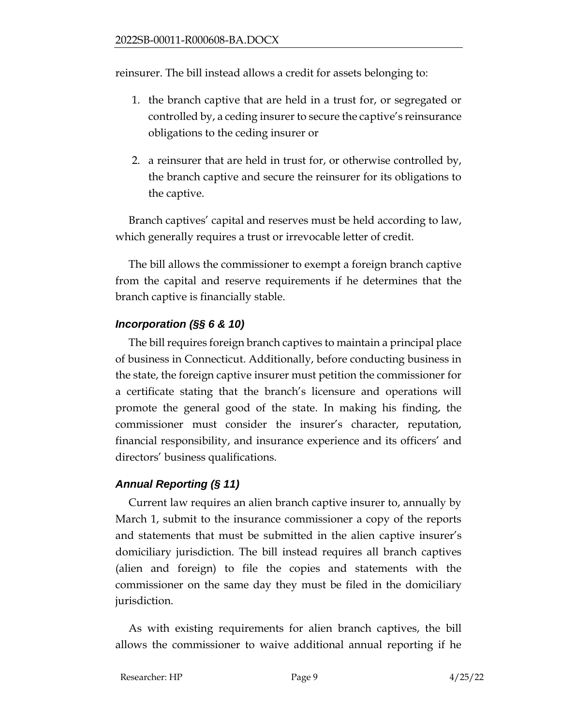reinsurer. The bill instead allows a credit for assets belonging to:

- 1. the branch captive that are held in a trust for, or segregated or controlled by, a ceding insurer to secure the captive's reinsurance obligations to the ceding insurer or
- 2. a reinsurer that are held in trust for, or otherwise controlled by, the branch captive and secure the reinsurer for its obligations to the captive.

Branch captives' capital and reserves must be held according to law, which generally requires a trust or irrevocable letter of credit.

The bill allows the commissioner to exempt a foreign branch captive from the capital and reserve requirements if he determines that the branch captive is financially stable.

## *Incorporation (§§ 6 & 10)*

The bill requires foreign branch captives to maintain a principal place of business in Connecticut. Additionally, before conducting business in the state, the foreign captive insurer must petition the commissioner for a certificate stating that the branch's licensure and operations will promote the general good of the state. In making his finding, the commissioner must consider the insurer's character, reputation, financial responsibility, and insurance experience and its officers' and directors' business qualifications.

## *Annual Reporting (§ 11)*

Current law requires an alien branch captive insurer to, annually by March 1, submit to the insurance commissioner a copy of the reports and statements that must be submitted in the alien captive insurer's domiciliary jurisdiction. The bill instead requires all branch captives (alien and foreign) to file the copies and statements with the commissioner on the same day they must be filed in the domiciliary jurisdiction.

As with existing requirements for alien branch captives, the bill allows the commissioner to waive additional annual reporting if he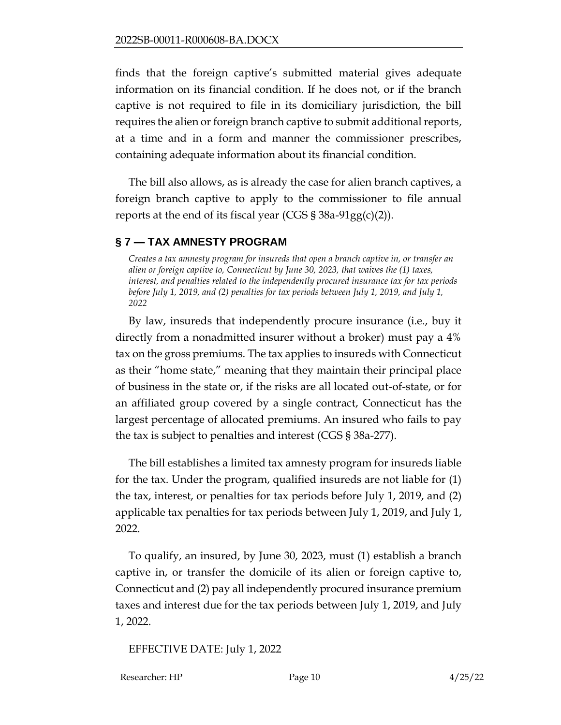finds that the foreign captive's submitted material gives adequate information on its financial condition. If he does not, or if the branch captive is not required to file in its domiciliary jurisdiction, the bill requires the alien or foreign branch captive to submit additional reports, at a time and in a form and manner the commissioner prescribes, containing adequate information about its financial condition.

The bill also allows, as is already the case for alien branch captives, a foreign branch captive to apply to the commissioner to file annual reports at the end of its fiscal year (CGS  $\S 38a-91gg(c)(2)$ ).

## <span id="page-9-0"></span>**§ 7 — TAX AMNESTY PROGRAM**

*Creates a tax amnesty program for insureds that open a branch captive in, or transfer an alien or foreign captive to, Connecticut by June 30, 2023, that waives the (1) taxes, interest, and penalties related to the independently procured insurance tax for tax periods before July 1, 2019, and (2) penalties for tax periods between July 1, 2019, and July 1, 2022*

By law, insureds that independently procure insurance (i.e., buy it directly from a nonadmitted insurer without a broker) must pay a 4% tax on the gross premiums. The tax applies to insureds with Connecticut as their "home state," meaning that they maintain their principal place of business in the state or, if the risks are all located out-of-state, or for an affiliated group covered by a single contract, Connecticut has the largest percentage of allocated premiums. An insured who fails to pay the tax is subject to penalties and interest (CGS § 38a-277).

The bill establishes a limited tax amnesty program for insureds liable for the tax. Under the program, qualified insureds are not liable for (1) the tax, interest, or penalties for tax periods before July 1, 2019, and (2) applicable tax penalties for tax periods between July 1, 2019, and July 1, 2022.

To qualify, an insured, by June 30, 2023, must (1) establish a branch captive in, or transfer the domicile of its alien or foreign captive to, Connecticut and (2) pay all independently procured insurance premium taxes and interest due for the tax periods between July 1, 2019, and July 1, 2022.

EFFECTIVE DATE: July 1, 2022

Researcher: HP Page 10 4/25/22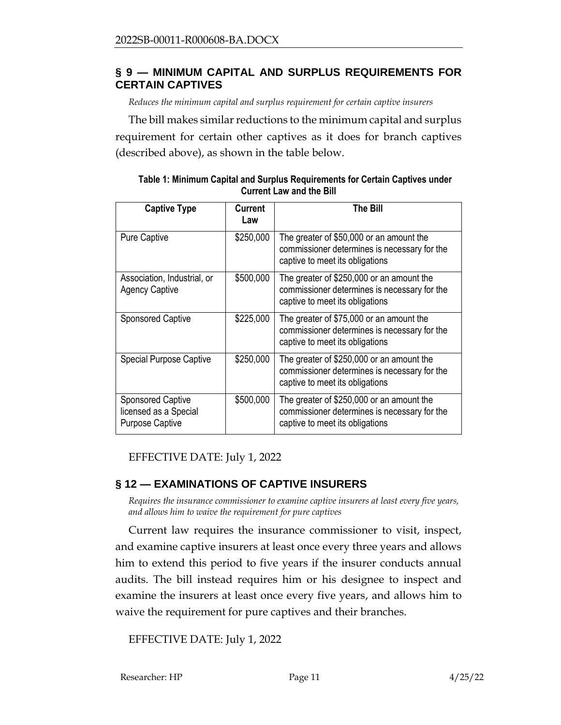## <span id="page-10-0"></span>**§ 9 — MINIMUM CAPITAL AND SURPLUS REQUIREMENTS FOR CERTAIN CAPTIVES**

*Reduces the minimum capital and surplus requirement for certain captive insurers*

The bill makes similar reductions to the minimum capital and surplus requirement for certain other captives as it does for branch captives (described above), as shown in the table below.

| <b>Captive Type</b>                                                         | Current<br>Law | The Bill                                                                                                                     |
|-----------------------------------------------------------------------------|----------------|------------------------------------------------------------------------------------------------------------------------------|
| <b>Pure Captive</b>                                                         | \$250,000      | The greater of \$50,000 or an amount the<br>commissioner determines is necessary for the<br>captive to meet its obligations  |
| Association, Industrial, or<br><b>Agency Captive</b>                        | \$500,000      | The greater of \$250,000 or an amount the<br>commissioner determines is necessary for the<br>captive to meet its obligations |
| <b>Sponsored Captive</b>                                                    | \$225,000      | The greater of \$75,000 or an amount the<br>commissioner determines is necessary for the<br>captive to meet its obligations  |
| <b>Special Purpose Captive</b>                                              | \$250,000      | The greater of \$250,000 or an amount the<br>commissioner determines is necessary for the<br>captive to meet its obligations |
| <b>Sponsored Captive</b><br>licensed as a Special<br><b>Purpose Captive</b> | \$500,000      | The greater of \$250,000 or an amount the<br>commissioner determines is necessary for the<br>captive to meet its obligations |

**Table 1: Minimum Capital and Surplus Requirements for Certain Captives under Current Law and the Bill**

EFFECTIVE DATE: July 1, 2022

# <span id="page-10-1"></span>**§ 12 — EXAMINATIONS OF CAPTIVE INSURERS**

*Requires the insurance commissioner to examine captive insurers at least every five years, and allows him to waive the requirement for pure captives*

Current law requires the insurance commissioner to visit, inspect, and examine captive insurers at least once every three years and allows him to extend this period to five years if the insurer conducts annual audits. The bill instead requires him or his designee to inspect and examine the insurers at least once every five years, and allows him to waive the requirement for pure captives and their branches.

EFFECTIVE DATE: July 1, 2022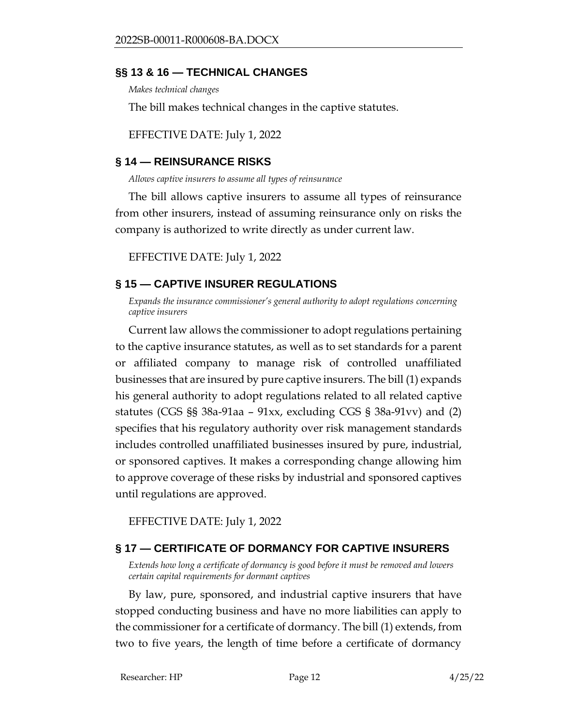## <span id="page-11-0"></span>**§§ 13 & 16 — TECHNICAL CHANGES**

*Makes technical changes*

The bill makes technical changes in the captive statutes.

EFFECTIVE DATE: July 1, 2022

## <span id="page-11-1"></span>**§ 14 — REINSURANCE RISKS**

*Allows captive insurers to assume all types of reinsurance*

The bill allows captive insurers to assume all types of reinsurance from other insurers, instead of assuming reinsurance only on risks the company is authorized to write directly as under current law.

EFFECTIVE DATE: July 1, 2022

## <span id="page-11-2"></span>**§ 15 — CAPTIVE INSURER REGULATIONS**

Expands the insurance commissioner's general authority to adopt regulations concerning *captive insurers*

Current law allows the commissioner to adopt regulations pertaining to the captive insurance statutes, as well as to set standards for a parent or affiliated company to manage risk of controlled unaffiliated businesses that are insured by pure captive insurers. The bill (1) expands his general authority to adopt regulations related to all related captive statutes (CGS §§ 38a-91aa – 91xx, excluding CGS § 38a-91vv) and (2) specifies that his regulatory authority over risk management standards includes controlled unaffiliated businesses insured by pure, industrial, or sponsored captives. It makes a corresponding change allowing him to approve coverage of these risks by industrial and sponsored captives until regulations are approved.

EFFECTIVE DATE: July 1, 2022

# <span id="page-11-3"></span>**§ 17 — CERTIFICATE OF DORMANCY FOR CAPTIVE INSURERS**

*Extends how long a certificate of dormancy is good before it must be removed and lowers certain capital requirements for dormant captives*

By law, pure, sponsored, and industrial captive insurers that have stopped conducting business and have no more liabilities can apply to the commissioner for a certificate of dormancy. The bill (1) extends, from two to five years, the length of time before a certificate of dormancy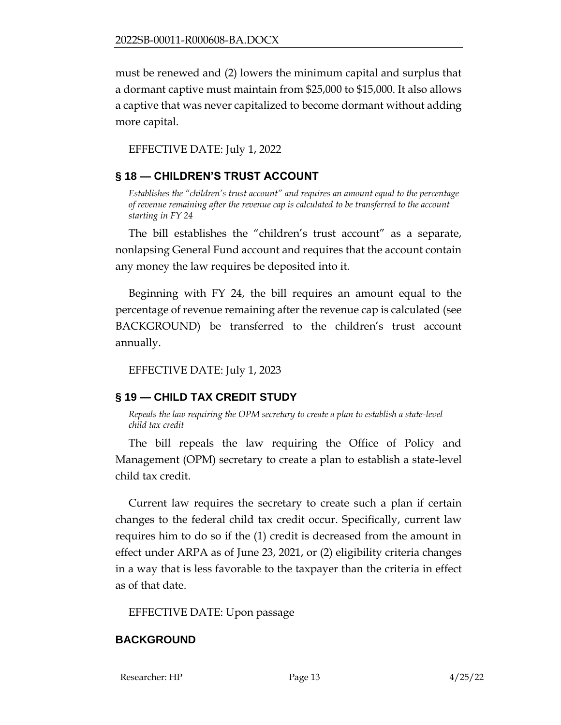must be renewed and (2) lowers the minimum capital and surplus that a dormant captive must maintain from \$25,000 to \$15,000. It also allows a captive that was never capitalized to become dormant without adding more capital.

EFFECTIVE DATE: July 1, 2022

## <span id="page-12-0"></span>**§ 18 — CHILDREN'S TRUST ACCOUNT**

*Establishes the "children's trust account" and requires an amount equal to the percentage of revenue remaining after the revenue cap is calculated to be transferred to the account starting in FY 24*

The bill establishes the "children's trust account" as a separate, nonlapsing General Fund account and requires that the account contain any money the law requires be deposited into it.

Beginning with FY 24, the bill requires an amount equal to the percentage of revenue remaining after the revenue cap is calculated (see BACKGROUND) be transferred to the children's trust account annually.

EFFECTIVE DATE: July 1, 2023

## <span id="page-12-1"></span>**§ 19 — CHILD TAX CREDIT STUDY**

*Repeals the law requiring the OPM secretary to create a plan to establish a state-level child tax credit*

The bill repeals the law requiring the Office of Policy and Management (OPM) secretary to create a plan to establish a state-level child tax credit.

Current law requires the secretary to create such a plan if certain changes to the federal child tax credit occur. Specifically, current law requires him to do so if the (1) credit is decreased from the amount in effect under ARPA as of June 23, 2021, or (2) eligibility criteria changes in a way that is less favorable to the taxpayer than the criteria in effect as of that date.

EFFECTIVE DATE: Upon passage

## <span id="page-12-2"></span>**BACKGROUND**

Researcher: HP Page 13 4/25/22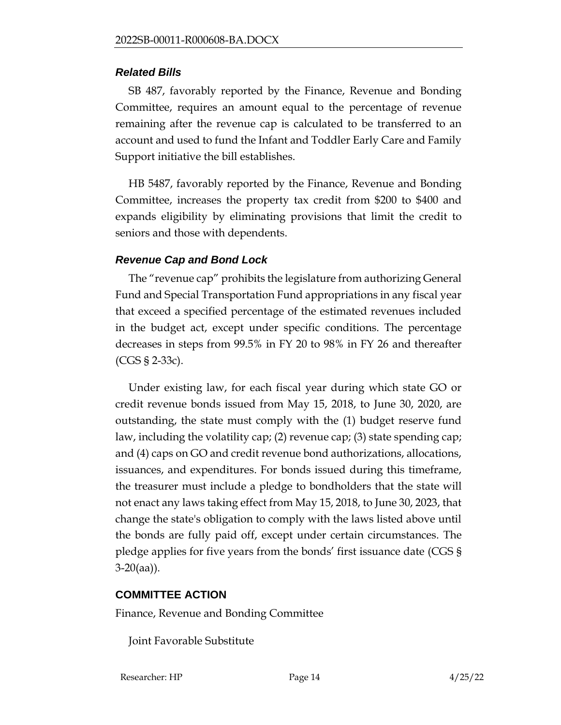## *Related Bills*

SB 487, favorably reported by the Finance, Revenue and Bonding Committee, requires an amount equal to the percentage of revenue remaining after the revenue cap is calculated to be transferred to an account and used to fund the Infant and Toddler Early Care and Family Support initiative the bill establishes.

HB 5487, favorably reported by the Finance, Revenue and Bonding Committee, increases the property tax credit from \$200 to \$400 and expands eligibility by eliminating provisions that limit the credit to seniors and those with dependents.

## *Revenue Cap and Bond Lock*

The "revenue cap" prohibits the legislature from authorizing General Fund and Special Transportation Fund appropriations in any fiscal year that exceed a specified percentage of the estimated revenues included in the budget act, except under specific conditions. The percentage decreases in steps from 99.5% in FY 20 to 98% in FY 26 and thereafter (CGS § 2-33c).

Under existing law, for each fiscal year during which state GO or credit revenue bonds issued from May 15, 2018, to June 30, 2020, are outstanding, the state must comply with the (1) budget reserve fund law, including the volatility cap; (2) revenue cap; (3) state spending cap; and (4) caps on GO and credit revenue bond authorizations, allocations, issuances, and expenditures. For bonds issued during this timeframe, the treasurer must include a pledge to bondholders that the state will not enact any laws taking effect from May 15, 2018, to June 30, 2023, that change the state's obligation to comply with the laws listed above until the bonds are fully paid off, except under certain circumstances. The pledge applies for five years from the bonds' first issuance date (CGS §  $3-20(aa)$ ).

## **COMMITTEE ACTION**

Finance, Revenue and Bonding Committee

Joint Favorable Substitute

Researcher: HP Page 14 4/25/22